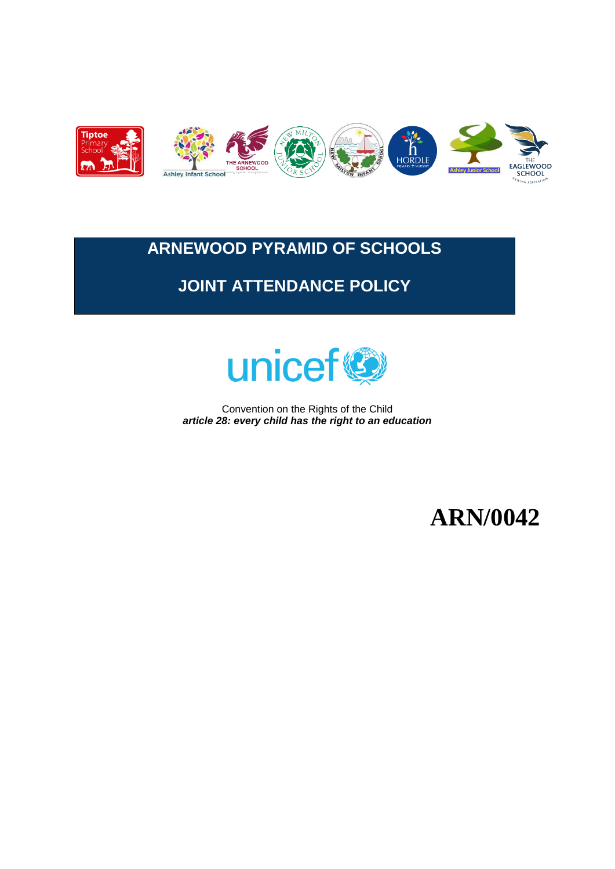

# **ARNEWOOD PYRAMID OF SCHOOLS**

# **JOINT ATTENDANCE POLICY**



Convention on the Rights of the Child *article 28: every child has the right to an education*

**ARN/0042**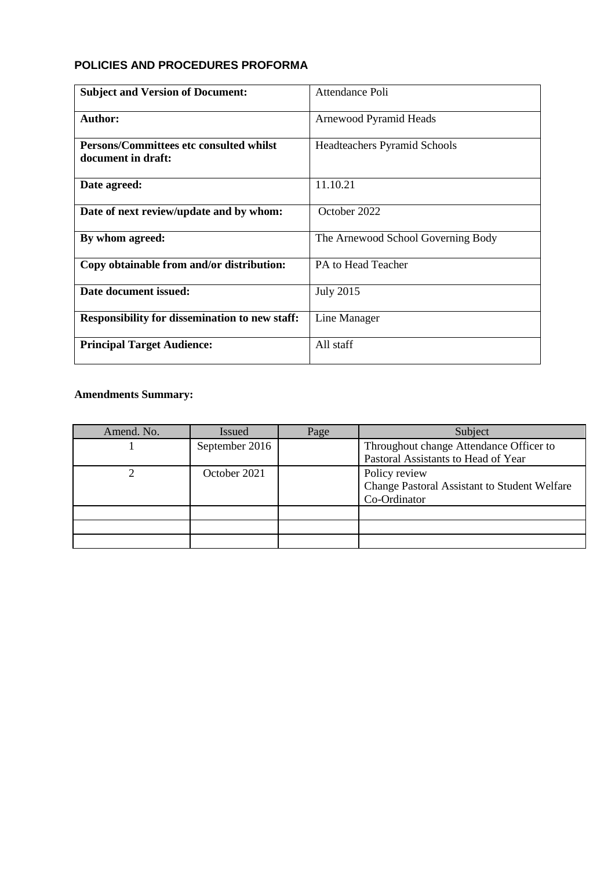# **POLICIES AND PROCEDURES PROFORMA**

| <b>Subject and Version of Document:</b>                              | Attendance Poli                     |
|----------------------------------------------------------------------|-------------------------------------|
| Author:                                                              | Arnewood Pyramid Heads              |
| <b>Persons/Committees etc consulted whilst</b><br>document in draft: | <b>Headteachers Pyramid Schools</b> |
| Date agreed:                                                         | 11.10.21                            |
| Date of next review/update and by whom:                              | October 2022                        |
| By whom agreed:                                                      | The Arnewood School Governing Body  |
| Copy obtainable from and/or distribution:                            | PA to Head Teacher                  |
| Date document issued:                                                | <b>July 2015</b>                    |
| <b>Responsibility for dissemination to new staff:</b>                | Line Manager                        |
| <b>Principal Target Audience:</b>                                    | All staff                           |

# **Amendments Summary:**

| Amend. No. | <b>Issued</b>  | Page | Subject                                             |
|------------|----------------|------|-----------------------------------------------------|
|            | September 2016 |      | Throughout change Attendance Officer to             |
|            |                |      | Pastoral Assistants to Head of Year                 |
|            | October 2021   |      | Policy review                                       |
|            |                |      | <b>Change Pastoral Assistant to Student Welfare</b> |
|            |                |      | Co-Ordinator                                        |
|            |                |      |                                                     |
|            |                |      |                                                     |
|            |                |      |                                                     |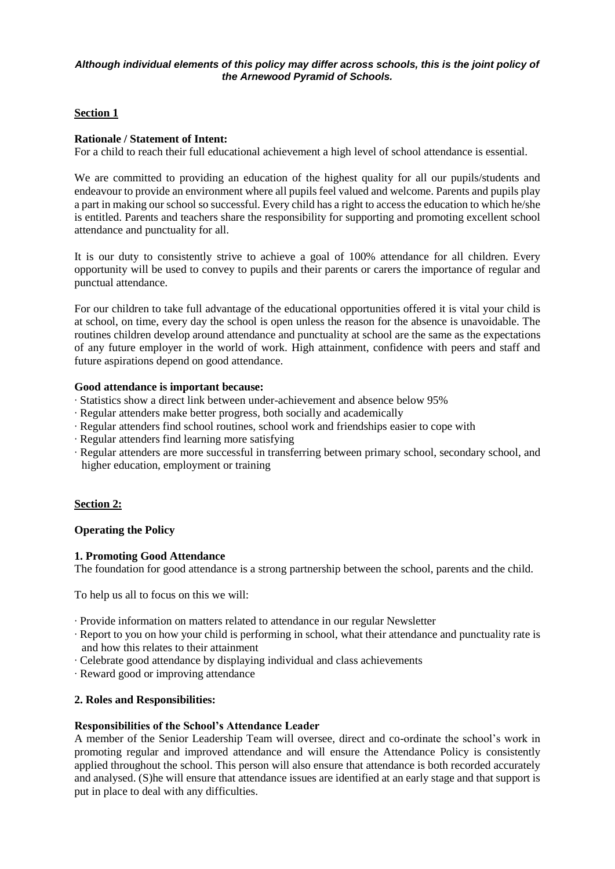#### *Although individual elements of this policy may differ across schools, this is the joint policy of the Arnewood Pyramid of Schools.*

#### **Section 1**

#### **Rationale / Statement of Intent:**

For a child to reach their full educational achievement a high level of school attendance is essential.

We are committed to providing an education of the highest quality for all our pupils/students and endeavour to provide an environment where all pupils feel valued and welcome. Parents and pupils play a part in making our school so successful. Every child has a right to access the education to which he/she is entitled. Parents and teachers share the responsibility for supporting and promoting excellent school attendance and punctuality for all.

It is our duty to consistently strive to achieve a goal of 100% attendance for all children. Every opportunity will be used to convey to pupils and their parents or carers the importance of regular and punctual attendance.

For our children to take full advantage of the educational opportunities offered it is vital your child is at school, on time, every day the school is open unless the reason for the absence is unavoidable. The routines children develop around attendance and punctuality at school are the same as the expectations of any future employer in the world of work. High attainment, confidence with peers and staff and future aspirations depend on good attendance.

#### **Good attendance is important because:**

- ∙ Statistics show a direct link between under-achievement and absence below 95%
- ∙ Regular attenders make better progress, both socially and academically
- ∙ Regular attenders find school routines, school work and friendships easier to cope with
- ∙ Regular attenders find learning more satisfying
- ∙ Regular attenders are more successful in transferring between primary school, secondary school, and higher education, employment or training

# **Section 2:**

# **Operating the Policy**

#### **1. Promoting Good Attendance**

The foundation for good attendance is a strong partnership between the school, parents and the child.

To help us all to focus on this we will:

- ∙ Provide information on matters related to attendance in our regular Newsletter
- ∙ Report to you on how your child is performing in school, what their attendance and punctuality rate is and how this relates to their attainment
- ∙ Celebrate good attendance by displaying individual and class achievements
- ∙ Reward good or improving attendance

# **2. Roles and Responsibilities:**

#### **Responsibilities of the School's Attendance Leader**

A member of the Senior Leadership Team will oversee, direct and co-ordinate the school's work in promoting regular and improved attendance and will ensure the Attendance Policy is consistently applied throughout the school. This person will also ensure that attendance is both recorded accurately and analysed. (S)he will ensure that attendance issues are identified at an early stage and that support is put in place to deal with any difficulties.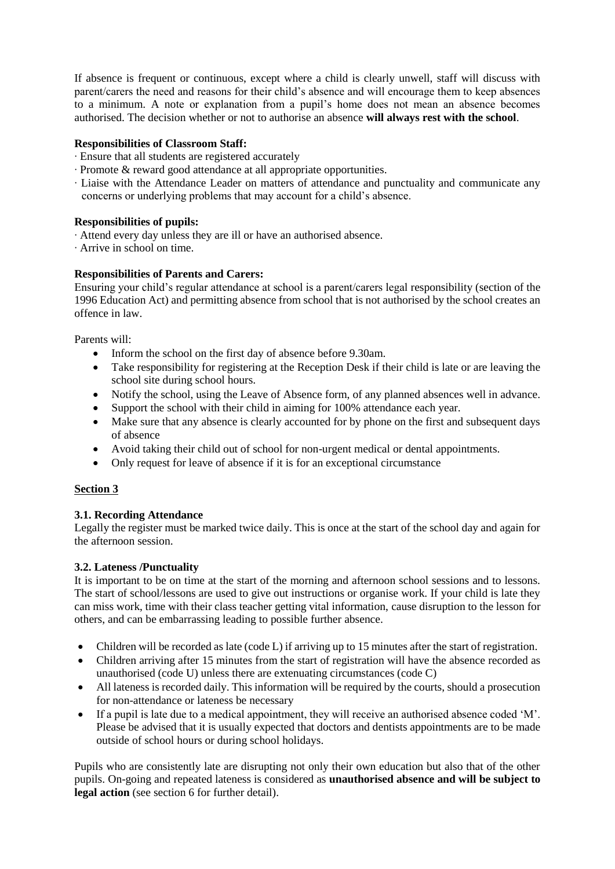If absence is frequent or continuous, except where a child is clearly unwell, staff will discuss with parent/carers the need and reasons for their child's absence and will encourage them to keep absences to a minimum. A note or explanation from a pupil's home does not mean an absence becomes authorised. The decision whether or not to authorise an absence **will always rest with the school**.

### **Responsibilities of Classroom Staff:**

- ∙ Ensure that all students are registered accurately
- ∙ Promote & reward good attendance at all appropriate opportunities.
- ∙ Liaise with the Attendance Leader on matters of attendance and punctuality and communicate any concerns or underlying problems that may account for a child's absence.

#### **Responsibilities of pupils:**

- ∙ Attend every day unless they are ill or have an authorised absence.
- ∙ Arrive in school on time.

#### **Responsibilities of Parents and Carers:**

Ensuring your child's regular attendance at school is a parent/carers legal responsibility (section of the 1996 Education Act) and permitting absence from school that is not authorised by the school creates an offence in law.

Parents will:

- Inform the school on the first day of absence before 9.30am.
- Take responsibility for registering at the Reception Desk if their child is late or are leaving the school site during school hours.
- Notify the school, using the Leave of Absence form, of any planned absences well in advance.
- Support the school with their child in aiming for 100% attendance each year.
- Make sure that any absence is clearly accounted for by phone on the first and subsequent days of absence
- Avoid taking their child out of school for non-urgent medical or dental appointments.
- Only request for leave of absence if it is for an exceptional circumstance

#### **Section 3**

#### **3.1. Recording Attendance**

Legally the register must be marked twice daily. This is once at the start of the school day and again for the afternoon session.

#### **3.2. Lateness /Punctuality**

It is important to be on time at the start of the morning and afternoon school sessions and to lessons. The start of school/lessons are used to give out instructions or organise work. If your child is late they can miss work, time with their class teacher getting vital information, cause disruption to the lesson for others, and can be embarrassing leading to possible further absence.

- Children will be recorded as late (code L) if arriving up to 15 minutes after the start of registration.
- Children arriving after 15 minutes from the start of registration will have the absence recorded as unauthorised (code U) unless there are extenuating circumstances (code C)
- All lateness is recorded daily. This information will be required by the courts, should a prosecution for non-attendance or lateness be necessary
- If a pupil is late due to a medical appointment, they will receive an authorised absence coded 'M'. Please be advised that it is usually expected that doctors and dentists appointments are to be made outside of school hours or during school holidays.

Pupils who are consistently late are disrupting not only their own education but also that of the other pupils. On-going and repeated lateness is considered as **unauthorised absence and will be subject to legal action** (see section 6 for further detail).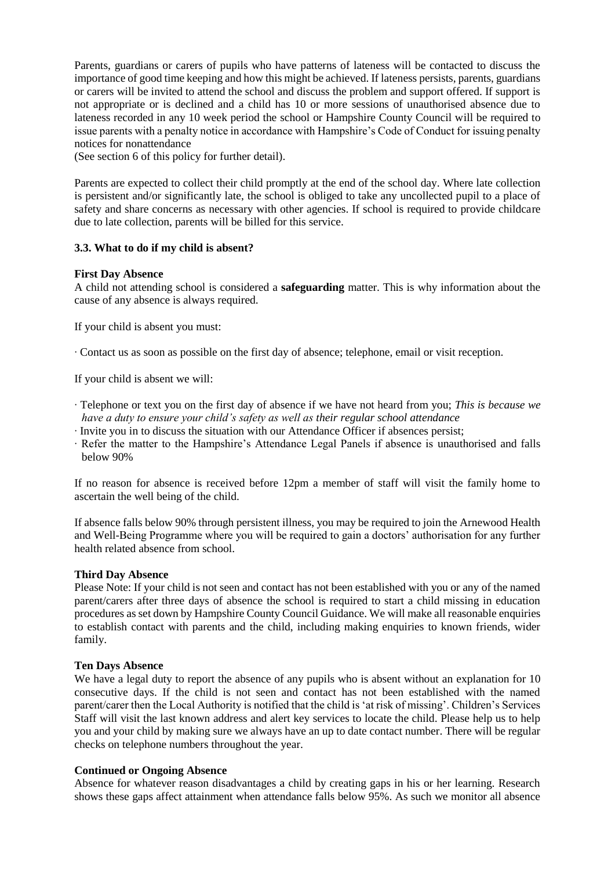Parents, guardians or carers of pupils who have patterns of lateness will be contacted to discuss the importance of good time keeping and how this might be achieved. If lateness persists, parents, guardians or carers will be invited to attend the school and discuss the problem and support offered. If support is not appropriate or is declined and a child has 10 or more sessions of unauthorised absence due to lateness recorded in any 10 week period the school or Hampshire County Council will be required to issue parents with a penalty notice in accordance with Hampshire's Code of Conduct for issuing penalty notices for nonattendance

(See section 6 of this policy for further detail).

Parents are expected to collect their child promptly at the end of the school day. Where late collection is persistent and/or significantly late, the school is obliged to take any uncollected pupil to a place of safety and share concerns as necessary with other agencies. If school is required to provide childcare due to late collection, parents will be billed for this service.

#### **3.3. What to do if my child is absent?**

#### **First Day Absence**

A child not attending school is considered a **safeguarding** matter. This is why information about the cause of any absence is always required.

If your child is absent you must:

∙ Contact us as soon as possible on the first day of absence; telephone, email or visit reception.

If your child is absent we will:

- ∙ Telephone or text you on the first day of absence if we have not heard from you; *This is because we have a duty to ensure your child's safety as well as their regular school attendance*
- ∙ Invite you in to discuss the situation with our Attendance Officer if absences persist;
- ∙ Refer the matter to the Hampshire's Attendance Legal Panels if absence is unauthorised and falls below 90%

If no reason for absence is received before 12pm a member of staff will visit the family home to ascertain the well being of the child.

If absence falls below 90% through persistent illness, you may be required to join the Arnewood Health and Well-Being Programme where you will be required to gain a doctors' authorisation for any further health related absence from school.

#### **Third Day Absence**

Please Note: If your child is not seen and contact has not been established with you or any of the named parent/carers after three days of absence the school is required to start a child missing in education procedures as set down by Hampshire County Council Guidance. We will make all reasonable enquiries to establish contact with parents and the child, including making enquiries to known friends, wider family.

#### **Ten Days Absence**

We have a legal duty to report the absence of any pupils who is absent without an explanation for 10 consecutive days. If the child is not seen and contact has not been established with the named parent/carer then the Local Authority is notified that the child is 'at risk of missing'. Children's Services Staff will visit the last known address and alert key services to locate the child. Please help us to help you and your child by making sure we always have an up to date contact number. There will be regular checks on telephone numbers throughout the year.

#### **Continued or Ongoing Absence**

Absence for whatever reason disadvantages a child by creating gaps in his or her learning. Research shows these gaps affect attainment when attendance falls below 95%. As such we monitor all absence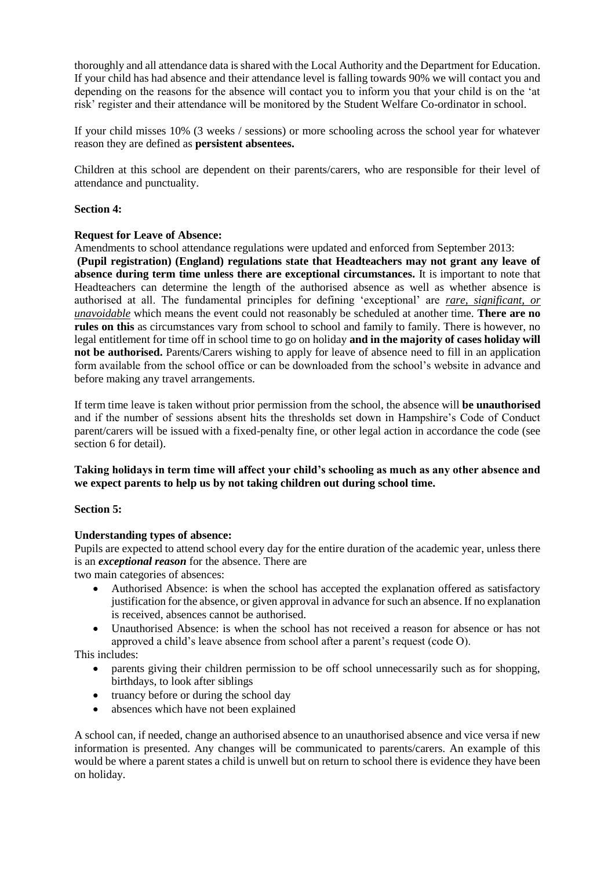thoroughly and all attendance data is shared with the Local Authority and the Department for Education. If your child has had absence and their attendance level is falling towards 90% we will contact you and depending on the reasons for the absence will contact you to inform you that your child is on the 'at risk' register and their attendance will be monitored by the Student Welfare Co-ordinator in school.

If your child misses 10% (3 weeks / sessions) or more schooling across the school year for whatever reason they are defined as **persistent absentees.**

Children at this school are dependent on their parents/carers, who are responsible for their level of attendance and punctuality.

#### **Section 4:**

#### **Request for Leave of Absence:**

Amendments to school attendance regulations were updated and enforced from September 2013: **(Pupil registration) (England) regulations state that Headteachers may not grant any leave of absence during term time unless there are exceptional circumstances.** It is important to note that Headteachers can determine the length of the authorised absence as well as whether absence is authorised at all. The fundamental principles for defining 'exceptional' are *rare, significant, or unavoidable* which means the event could not reasonably be scheduled at another time. **There are no rules on this** as circumstances vary from school to school and family to family. There is however, no legal entitlement for time off in school time to go on holiday **and in the majority of cases holiday will not be authorised.** Parents/Carers wishing to apply for leave of absence need to fill in an application form available from the school office or can be downloaded from the school's website in advance and before making any travel arrangements.

If term time leave is taken without prior permission from the school, the absence will **be unauthorised**  and if the number of sessions absent hits the thresholds set down in Hampshire's Code of Conduct parent/carers will be issued with a fixed-penalty fine, or other legal action in accordance the code (see section 6 for detail).

#### **Taking holidays in term time will affect your child's schooling as much as any other absence and we expect parents to help us by not taking children out during school time.**

#### **Section 5:**

# **Understanding types of absence:**

Pupils are expected to attend school every day for the entire duration of the academic year, unless there is an *exceptional reason* for the absence. There are

two main categories of absences:

- Authorised Absence: is when the school has accepted the explanation offered as satisfactory justification for the absence, or given approval in advance for such an absence. If no explanation is received, absences cannot be authorised.
- Unauthorised Absence: is when the school has not received a reason for absence or has not approved a child's leave absence from school after a parent's request (code O).

This includes:

- parents giving their children permission to be off school unnecessarily such as for shopping, birthdays, to look after siblings
- truancy before or during the school day
- absences which have not been explained

A school can, if needed, change an authorised absence to an unauthorised absence and vice versa if new information is presented. Any changes will be communicated to parents/carers. An example of this would be where a parent states a child is unwell but on return to school there is evidence they have been on holiday.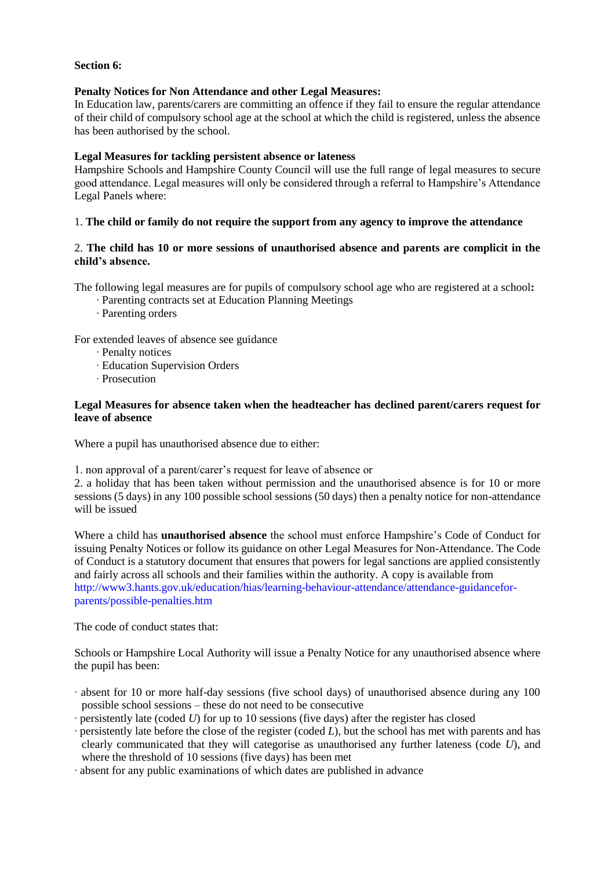#### **Section 6:**

#### **Penalty Notices for Non Attendance and other Legal Measures:**

In Education law, parents/carers are committing an offence if they fail to ensure the regular attendance of their child of compulsory school age at the school at which the child is registered, unless the absence has been authorised by the school.

#### **Legal Measures for tackling persistent absence or lateness**

Hampshire Schools and Hampshire County Council will use the full range of legal measures to secure good attendance. Legal measures will only be considered through a referral to Hampshire's Attendance Legal Panels where:

#### 1. **The child or family do not require the support from any agency to improve the attendance**

### 2. **The child has 10 or more sessions of unauthorised absence and parents are complicit in the child's absence.**

The following legal measures are for pupils of compulsory school age who are registered at a school**:**

- ∙ Parenting contracts set at Education Planning Meetings
- ∙ Parenting orders

For extended leaves of absence see guidance

- ∙ Penalty notices
- ∙ Education Supervision Orders
- ∙ Prosecution

#### **Legal Measures for absence taken when the headteacher has declined parent/carers request for leave of absence**

Where a pupil has unauthorised absence due to either:

1. non approval of a parent/carer's request for leave of absence or

2. a holiday that has been taken without permission and the unauthorised absence is for 10 or more sessions (5 days) in any 100 possible school sessions (50 days) then a penalty notice for non-attendance will be issued

Where a child has **unauthorised absence** the school must enforce Hampshire's Code of Conduct for issuing Penalty Notices or follow its guidance on other Legal Measures for Non-Attendance. The Code of Conduct is a statutory document that ensures that powers for legal sanctions are applied consistently and fairly across all schools and their families within the authority. A copy is available from http://www3.hants.gov.uk/education/hias/learning-behaviour-attendance/attendance-guidanceforparents/possible-penalties.htm

The code of conduct states that:

Schools or Hampshire Local Authority will issue a Penalty Notice for any unauthorised absence where the pupil has been:

- ∙ absent for 10 or more half-day sessions (five school days) of unauthorised absence during any 100 possible school sessions – these do not need to be consecutive
- ∙ persistently late (coded *U*) for up to 10 sessions (five days) after the register has closed
- ∙ persistently late before the close of the register (coded *L*), but the school has met with parents and has clearly communicated that they will categorise as unauthorised any further lateness (code *U*), and where the threshold of 10 sessions (five days) has been met
- ∙ absent for any public examinations of which dates are published in advance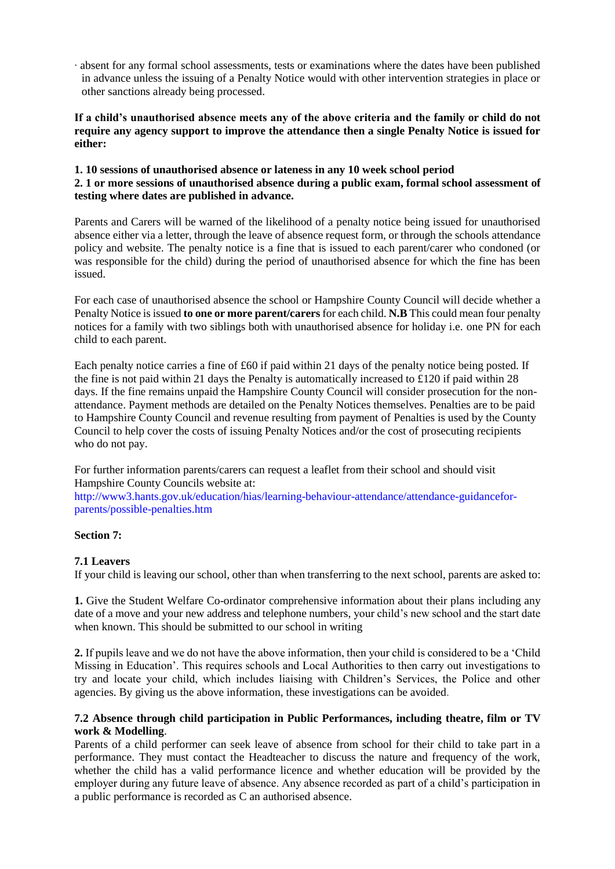∙ absent for any formal school assessments, tests or examinations where the dates have been published in advance unless the issuing of a Penalty Notice would with other intervention strategies in place or other sanctions already being processed.

**If a child's unauthorised absence meets any of the above criteria and the family or child do not require any agency support to improve the attendance then a single Penalty Notice is issued for either:**

#### **1. 10 sessions of unauthorised absence or lateness in any 10 week school period 2. 1 or more sessions of unauthorised absence during a public exam, formal school assessment of testing where dates are published in advance.**

Parents and Carers will be warned of the likelihood of a penalty notice being issued for unauthorised absence either via a letter, through the leave of absence request form, or through the schools attendance policy and website. The penalty notice is a fine that is issued to each parent/carer who condoned (or was responsible for the child) during the period of unauthorised absence for which the fine has been issued.

For each case of unauthorised absence the school or Hampshire County Council will decide whether a Penalty Notice is issued **to one or more parent/carers** for each child. **N.B** This could mean four penalty notices for a family with two siblings both with unauthorised absence for holiday i.e. one PN for each child to each parent.

Each penalty notice carries a fine of £60 if paid within 21 days of the penalty notice being posted. If the fine is not paid within 21 days the Penalty is automatically increased to £120 if paid within 28 days. If the fine remains unpaid the Hampshire County Council will consider prosecution for the nonattendance. Payment methods are detailed on the Penalty Notices themselves. Penalties are to be paid to Hampshire County Council and revenue resulting from payment of Penalties is used by the County Council to help cover the costs of issuing Penalty Notices and/or the cost of prosecuting recipients who do not pay.

For further information parents/carers can request a leaflet from their school and should visit Hampshire County Councils website at:

http://www3.hants.gov.uk/education/hias/learning-behaviour-attendance/attendance-guidanceforparents/possible-penalties.htm

# **Section 7:**

#### **7.1 Leavers**

If your child is leaving our school, other than when transferring to the next school, parents are asked to:

**1.** Give the Student Welfare Co-ordinator comprehensive information about their plans including any date of a move and your new address and telephone numbers, your child's new school and the start date when known. This should be submitted to our school in writing

**2.** If pupils leave and we do not have the above information, then your child is considered to be a 'Child Missing in Education'. This requires schools and Local Authorities to then carry out investigations to try and locate your child, which includes liaising with Children's Services, the Police and other agencies. By giving us the above information, these investigations can be avoided.

#### **7.2 Absence through child participation in Public Performances, including theatre, film or TV work & Modelling**.

Parents of a child performer can seek leave of absence from school for their child to take part in a performance. They must contact the Headteacher to discuss the nature and frequency of the work, whether the child has a valid performance licence and whether education will be provided by the employer during any future leave of absence. Any absence recorded as part of a child's participation in a public performance is recorded as C an authorised absence.